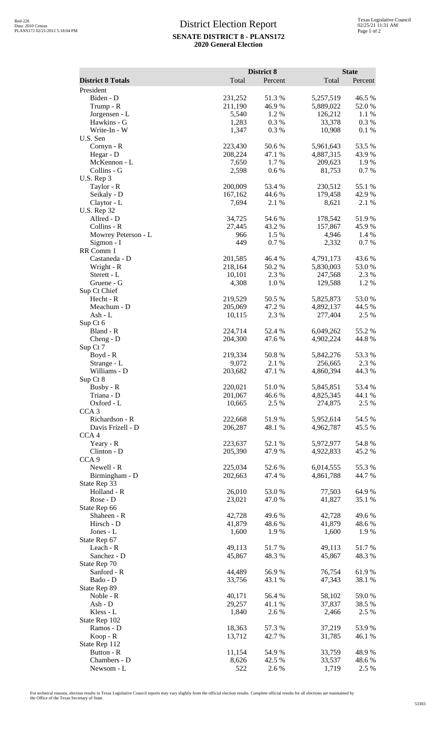## District Election Report **SENATE DISTRICT 8 - PLANS172 2020 General Election**

|                                |                    | District 8       |                        | <b>State</b>    |  |
|--------------------------------|--------------------|------------------|------------------------|-----------------|--|
| <b>District 8 Totals</b>       | Total              | Percent          | Total                  | Percent         |  |
| President                      |                    |                  |                        |                 |  |
| Biden - D                      | 231,252            | 51.3 %           | 5,257,519              | 46.5 %          |  |
| Trump - R                      | 211,190            | 46.9 %           | 5,889,022              | 52.0%           |  |
| Jorgensen - L                  | 5,540              | 1.2 %            | 126,212                | 1.1 %           |  |
| Hawkins - G<br>Write-In - W    | 1,283<br>1,347     | 0.3%<br>0.3%     | 33,378<br>10,908       | 0.3%<br>0.1%    |  |
| U.S. Sen                       |                    |                  |                        |                 |  |
| Cornyn - R                     | 223,430            | 50.6%            | 5,961,643              | 53.5 %          |  |
| Hegar - D                      | 208,224            | 47.1 %           | 4,887,315              | 43.9%           |  |
| McKennon - L                   | 7,650              | 1.7 %            | 209,623                | 1.9%            |  |
| Collins - G                    | 2,598              | 0.6 %            | 81,753                 | 0.7 %           |  |
| U.S. Rep 3                     |                    |                  |                        |                 |  |
| Taylor - R                     | 200,009            | 53.4 %           | 230,512                | 55.1 %          |  |
| Seikaly - D<br>Claytor - L     | 167,162<br>7,694   | 44.6 %<br>2.1 %  | 179,458<br>8,621       | 42.9%<br>2.1 %  |  |
| <b>U.S. Rep 32</b>             |                    |                  |                        |                 |  |
| Allred - D                     | 34,725             | 54.6 %           | 178,542                | 51.9%           |  |
| Collins - R                    | 27,445             | 43.2 %           | 157,867                | 45.9%           |  |
| Mowrey Peterson - L            | 966                | 1.5 %            | 4,946                  | 1.4 %           |  |
| Sigmon - I                     | 449                | 0.7%             | 2,332                  | 0.7%            |  |
| RR Comm 1                      |                    |                  |                        |                 |  |
| Castaneda - D<br>Wright - R    | 201,585<br>218,164 | 46.4 %<br>50.2 % | 4,791,173<br>5,830,003 | 43.6%<br>53.0%  |  |
| Sterett - L                    | 10,101             | 2.3 %            | 247,568                | 2.3 %           |  |
| Gruene - G                     | 4,308              | 1.0%             | 129,588                | 1.2%            |  |
| Sup Ct Chief                   |                    |                  |                        |                 |  |
| Hecht - R                      | 219,529            | 50.5 %           | 5,825,873              | 53.0%           |  |
| Meachum - D                    | 205,069            | 47.2 %           | 4,892,137              | 44.5 %          |  |
| Ash - L                        | 10,115             | 2.3 %            | 277,404                | 2.5 %           |  |
| Sup Ct 6                       |                    |                  |                        |                 |  |
| Bland - R<br>$Cheng - D$       | 224,714<br>204,300 | 52.4 %<br>47.6 % | 6,049,262<br>4,902,224 | 55.2 %<br>44.8% |  |
| Sup Ct 7                       |                    |                  |                        |                 |  |
| Boyd - R                       | 219,334            | 50.8%            | 5,842,276              | 53.3%           |  |
| Strange - L                    | 9,072              | 2.1 %            | 256,665                | 2.3 %           |  |
| Williams - D                   | 203,682            | 47.1 %           | 4,860,394              | 44.3 %          |  |
| Sup Ct 8                       |                    |                  |                        |                 |  |
| Busby - R                      | 220,021            | 51.0%            | 5,845,851              | 53.4 %          |  |
| Triana - D                     | 201,067            | 46.6%            | 4,825,345              | 44.1 %          |  |
| Oxford - L<br>CCA <sub>3</sub> | 10,665             | 2.5 %            | 274,875                | 2.5 %           |  |
| Richardson - R                 | 222,668            | 51.9%            | 5,952,614              | 54.5 %          |  |
| Davis Frizell - D              | 206,287            | 48.1 %           | 4,962,787              | 45.5 %          |  |
| CCA <sub>4</sub>               |                    |                  |                        |                 |  |
| Yeary - R                      | 223,637            | 52.1 %           | 5,972,977              | 54.8%           |  |
| Clinton - D                    | 205,390            | 47.9%            | 4,922,833              | 45.2 %          |  |
| CCA <sub>9</sub>               |                    |                  |                        |                 |  |
| Newell - R<br>Birmingham - D   | 225,034<br>202,663 | 52.6 %<br>47.4 % | 6,014,555<br>4,861,788 | 55.3%<br>44.7 % |  |
| State Rep 33                   |                    |                  |                        |                 |  |
| Holland - R                    | 26,010             | 53.0%            | 77,503                 | 64.9%           |  |
| Rose - D                       | 23,021             | 47.0%            | 41,827                 | 35.1 %          |  |
| State Rep 66                   |                    |                  |                        |                 |  |
| Shaheen - R                    | 42,728             | 49.6 %           | 42,728                 | 49.6%           |  |
| Hirsch - D                     | 41,879             | 48.6%            | 41,879                 | 48.6 %          |  |
| Jones - L<br>State Rep 67      | 1,600              | 1.9%             | 1,600                  | 1.9%            |  |
| Leach - R                      | 49,113             | 51.7%            | 49,113                 | 51.7%           |  |
| Sanchez - D                    | 45,867             | 48.3%            | 45,867                 | 48.3%           |  |
| State Rep 70                   |                    |                  |                        |                 |  |
| Sanford - R                    | 44,489             | 56.9%            | 76,754                 | 61.9%           |  |
| Bado - D                       | 33,756             | 43.1 %           | 47,343                 | 38.1 %          |  |
| State Rep 89                   |                    |                  |                        |                 |  |
| Noble - R                      | 40,171             | 56.4 %           | 58,102                 | 59.0%           |  |
| Ash - D                        | 29,257             | 41.1%            | 37,837                 | 38.5 %          |  |
| Kless - L<br>State Rep 102     | 1,840              | 2.6 %            | 2,466                  | 2.5 %           |  |
| Ramos - D                      | 18,363             | 57.3 %           | 37,219                 | 53.9%           |  |
| Koop - R                       | 13,712             | 42.7 %           | 31,785                 | 46.1 %          |  |
| State Rep 112                  |                    |                  |                        |                 |  |
| Button - R                     | 11,154             | 54.9 %           | 33,759                 | 48.9%           |  |
| Chambers - D                   | 8,626              | 42.5 %           | 33,537                 | 48.6 %          |  |
| Newsom - L                     | 522                | 2.6 %            | 1,719                  | 2.5 %           |  |

For technical reasons, election results in Texas Legislative Council reports may vary slightly from the official election results. Complete official results for all elections are maintained by<br>the Office of the Texas Secre